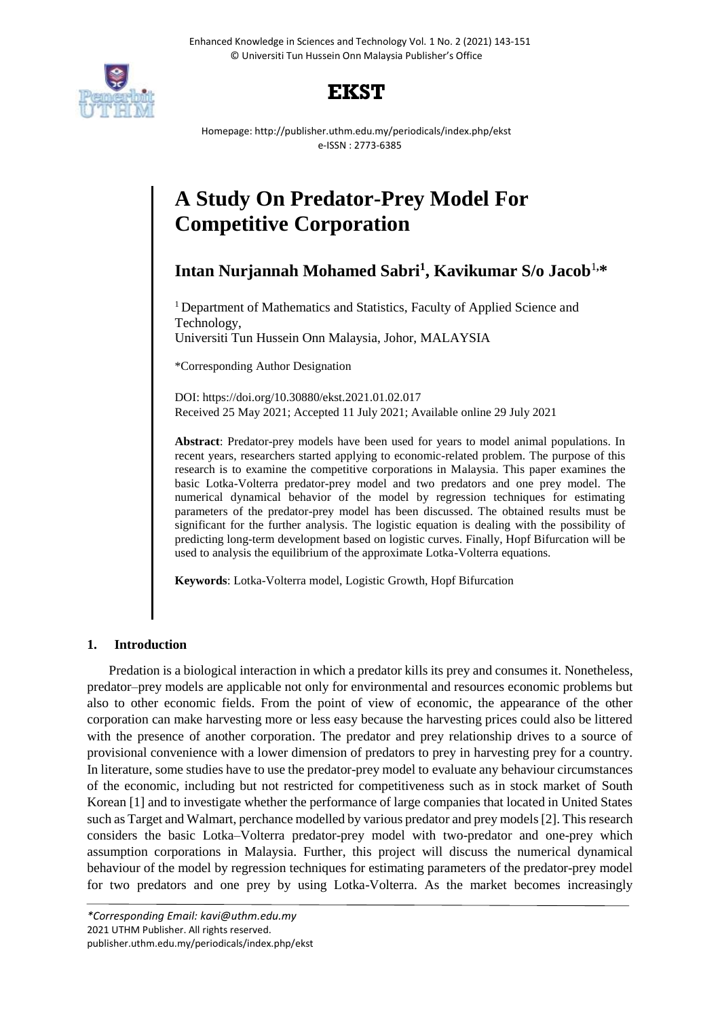



Homepage: http://publisher.uthm.edu.my/periodicals/index.php/ekst e-ISSN : 2773-6385

# **A Study On Predator-Prey Model For Competitive Corporation**

**Intan Nurjannah Mohamed Sabri<sup>1</sup> , Kavikumar S/o Jacob**<sup>1</sup>**,\***

<sup>1</sup> Department of Mathematics and Statistics, Faculty of Applied Science and Technology,

Universiti Tun Hussein Onn Malaysia, Johor, MALAYSIA

\*Corresponding Author Designation

DOI: https://doi.org/10.30880/ekst.2021.01.02.017 Received 25 May 2021; Accepted 11 July 2021; Available online 29 July 2021

**Abstract**: Predator-prey models have been used for years to model animal populations. In recent years, researchers started applying to economic-related problem. The purpose of this research is to examine the competitive corporations in Malaysia. This paper examines the basic Lotka-Volterra predator-prey model and two predators and one prey model. The numerical dynamical behavior of the model by regression techniques for estimating parameters of the predator-prey model has been discussed. The obtained results must be significant for the further analysis. The logistic equation is dealing with the possibility of predicting long-term development based on logistic curves. Finally, Hopf Bifurcation will be used to analysis the equilibrium of the approximate Lotka-Volterra equations.

**Keywords**: Lotka-Volterra model, Logistic Growth, Hopf Bifurcation

# **1. Introduction**

Predation is a biological interaction in which a predator kills its prey and consumes it. Nonetheless, predator–prey models are applicable not only for environmental and resources economic problems but also to other economic fields. From the point of view of economic, the appearance of the other corporation can make harvesting more or less easy because the harvesting prices could also be littered with the presence of another corporation. The predator and prey relationship drives to a source of provisional convenience with a lower dimension of predators to prey in harvesting prey for a country. In literature, some studies have to use the predator-prey model to evaluate any behaviour circumstances of the economic, including but not restricted for competitiveness such as in stock market of South Korean [1] and to investigate whether the performance of large companies that located in United States such as Target and Walmart, perchance modelled by various predator and prey models [2]. This research considers the basic Lotka–Volterra predator-prey model with two-predator and one-prey which assumption corporations in Malaysia. Further, this project will discuss the numerical dynamical behaviour of the model by regression techniques for estimating parameters of the predator-prey model for two predators and one prey by using Lotka-Volterra. As the market becomes increasingly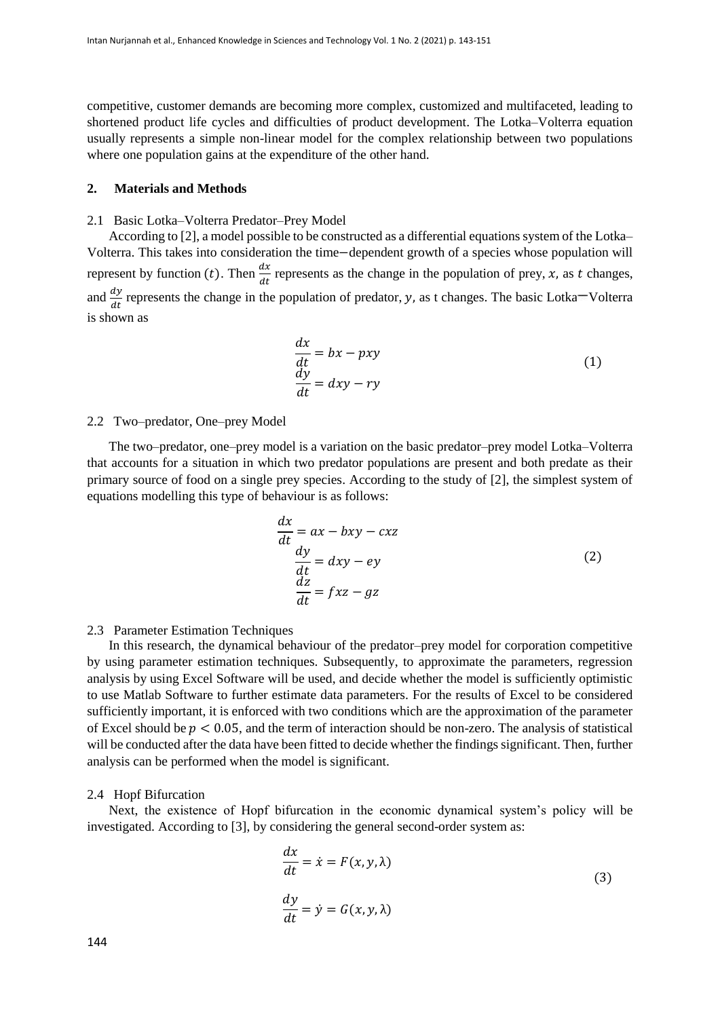competitive, customer demands are becoming more complex, customized and multifaceted, leading to shortened product life cycles and difficulties of product development. The Lotka–Volterra equation usually represents a simple non-linear model for the complex relationship between two populations where one population gains at the expenditure of the other hand.

## **2. Materials and Methods**

## 2.1 Basic Lotka–Volterra Predator–Prey Model

According to [2], a model possible to be constructed as a differential equations system of the Lotka– Volterra. This takes into consideration the time−dependent growth of a species whose population will represent by function (*t*). Then  $\frac{dx}{dt}$  represents as the change in the population of prey, x, as t changes, and  $\frac{dy}{dt}$  represents the change in the population of predator, y, as t changes. The basic Lotka<sup>-</sup>Volterra is shown as

$$
\begin{aligned}\n\frac{dx}{dt} &= bx - pxy\\
\frac{dy}{dt} &= dxy - ry\n\end{aligned} \tag{1}
$$

## 2.2 Two–predator, One–prey Model

The two–predator, one–prey model is a variation on the basic predator–prey model Lotka–Volterra that accounts for a situation in which two predator populations are present and both predate as their primary source of food on a single prey species. According to the study of [2], the simplest system of equations modelling this type of behaviour is as follows:

$$
\frac{dx}{dt} = ax - bxy - cxz
$$
  

$$
\frac{dy}{dt} = dxy - ey
$$
  

$$
\frac{dz}{dt} = fxz - gz
$$
 (2)

## 2.3 Parameter Estimation Techniques

In this research, the dynamical behaviour of the predator–prey model for corporation competitive by using parameter estimation techniques. Subsequently, to approximate the parameters, regression analysis by using Excel Software will be used, and decide whether the model is sufficiently optimistic to use Matlab Software to further estimate data parameters. For the results of Excel to be considered sufficiently important, it is enforced with two conditions which are the approximation of the parameter of Excel should be  $p < 0.05$ , and the term of interaction should be non-zero. The analysis of statistical will be conducted after the data have been fitted to decide whether the findings significant. Then, further analysis can be performed when the model is significant.

#### 2.4 Hopf Bifurcation

Next, the existence of Hopf bifurcation in the economic dynamical system's policy will be investigated. According to [3], by considering the general second-order system as:

$$
\frac{dx}{dt} = \dot{x} = F(x, y, \lambda)
$$
  

$$
\frac{dy}{dt} = \dot{y} = G(x, y, \lambda)
$$
 (3)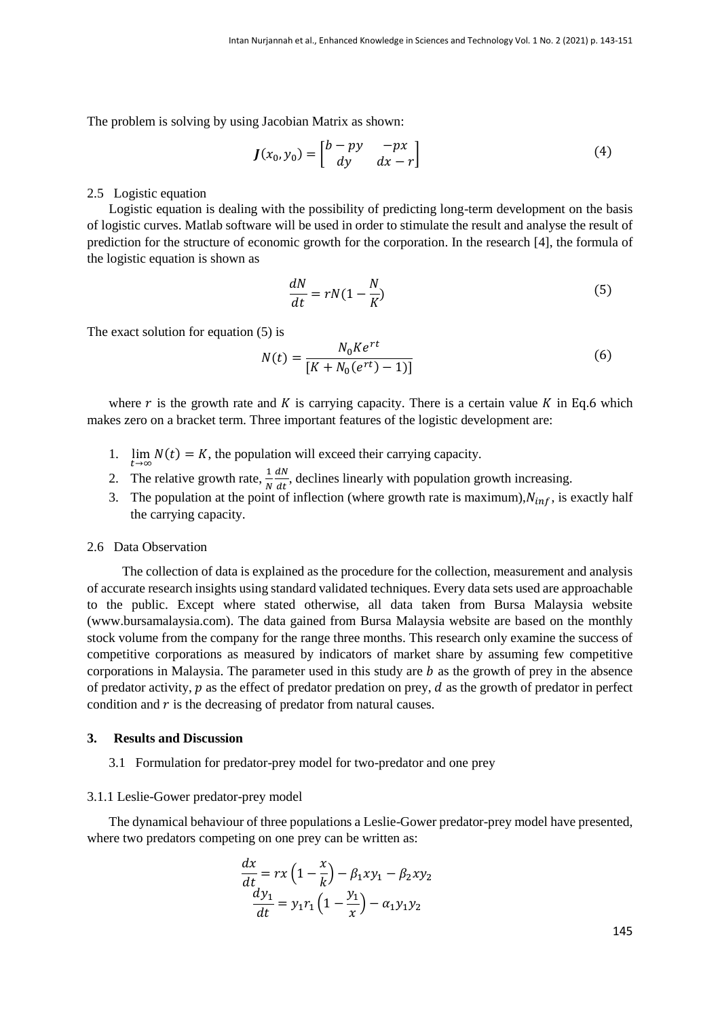The problem is solving by using Jacobian Matrix as shown:

$$
J(x_0, y_0) = \begin{bmatrix} b - py & -px \\ dy & dx - r \end{bmatrix}
$$
 (4)

## 2.5 Logistic equation

Logistic equation is dealing with the possibility of predicting long-term development on the basis of logistic curves. Matlab software will be used in order to stimulate the result and analyse the result of prediction for the structure of economic growth for the corporation. In the research [4], the formula of the logistic equation is shown as

$$
\frac{dN}{dt} = rN(1 - \frac{N}{K})\tag{5}
$$

The exact solution for equation (5) is

$$
N(t) = \frac{N_0 K e^{rt}}{[K + N_0(e^{rt}) - 1)]}
$$
\n(6)

where  $r$  is the growth rate and  $K$  is carrying capacity. There is a certain value  $K$  in Eq.6 which makes zero on a bracket term. Three important features of the logistic development are:

- 1.  $\lim_{t \to \infty} N(t) = K$ , the population will exceed their carrying capacity.
- 2. The relative growth rate,  $\frac{1}{N}$  $dN$  $\frac{du}{dt}$ , declines linearly with population growth increasing.
- 3. The population at the point of inflection (where growth rate is maximum),  $N_{inf}$ , is exactly half the carrying capacity.

### 2.6 Data Observation

 The collection of data is explained as the procedure for the collection, measurement and analysis of accurate research insights using standard validated techniques. Every data sets used are approachable to the public. Except where stated otherwise, all data taken from Bursa Malaysia website [\(www.bursamalaysia.com\)](http://www.bursamalaysia.com/). The data gained from Bursa Malaysia website are based on the monthly stock volume from the company for the range three months. This research only examine the success of competitive corporations as measured by indicators of market share by assuming few competitive corporations in Malaysia. The parameter used in this study are  $b$  as the growth of prey in the absence of predator activity,  $p$  as the effect of predator predation on prey,  $d$  as the growth of predator in perfect condition and  $r$  is the decreasing of predator from natural causes.

# **3. Results and Discussion**

3.1 Formulation for predator-prey model for two-predator and one prey

#### 3.1.1 Leslie-Gower predator-prey model

The dynamical behaviour of three populations a Leslie-Gower predator-prey model have presented, where two predators competing on one prey can be written as:

$$
\frac{dx}{dt} = rx\left(1 - \frac{x}{k}\right) - \beta_1 xy_1 - \beta_2 xy_2
$$

$$
\frac{dy_1}{dt} = y_1 r_1 \left(1 - \frac{y_1}{x}\right) - \alpha_1 y_1 y_2
$$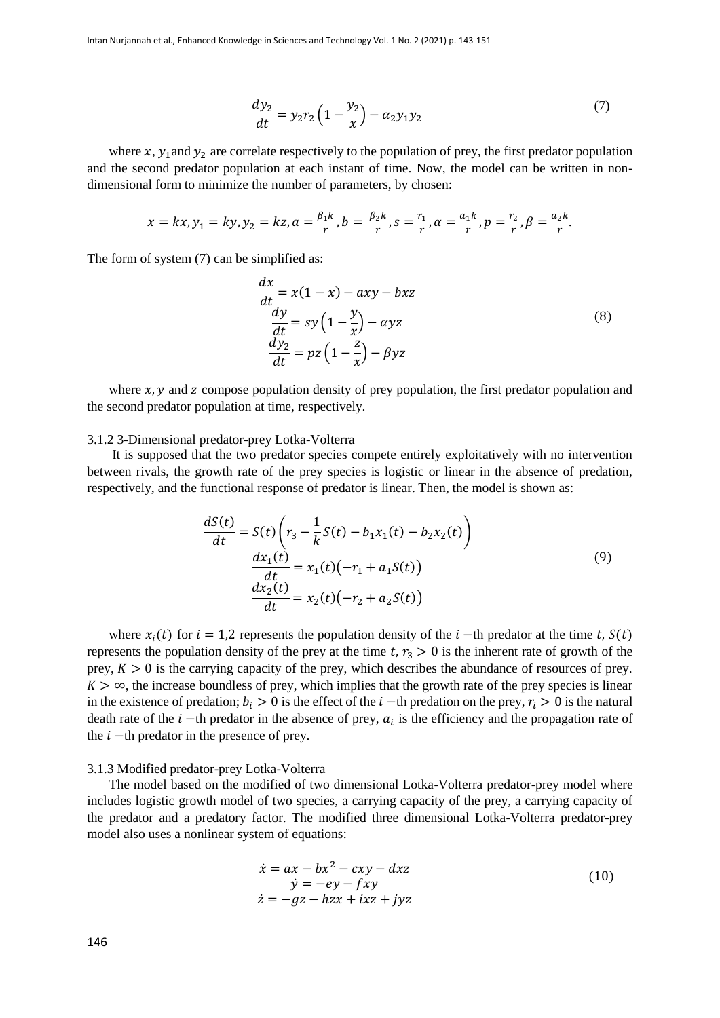$$
\frac{dy_2}{dt} = y_2 r_2 \left( 1 - \frac{y_2}{x} \right) - \alpha_2 y_1 y_2 \tag{7}
$$

where  $x$ ,  $y_1$  and  $y_2$  are correlate respectively to the population of prey, the first predator population and the second predator population at each instant of time. Now, the model can be written in nondimensional form to minimize the number of parameters, by chosen:

$$
x = kx, y_1 = ky, y_2 = kz, a = \frac{\beta_1 k}{r}, b = \frac{\beta_2 k}{r}, s = \frac{r_1}{r}, a = \frac{a_1 k}{r}, p = \frac{r_2}{r}, \beta = \frac{a_2 k}{r}.
$$

The form of system (7) can be simplified as:

$$
\frac{dx}{dt} = x(1-x) - axy - bxz
$$
\n
$$
\frac{dy}{dt} = sy\left(1 - \frac{y}{x}\right) - ayz
$$
\n
$$
\frac{dy_2}{dt} = pz\left(1 - \frac{z}{x}\right) - \beta yz
$$
\n(8)

where  $x$ ,  $y$  and  $z$  compose population density of prey population, the first predator population and the second predator population at time, respectively.

# 3.1.2 3-Dimensional predator-prey Lotka-Volterra

It is supposed that the two predator species compete entirely exploitatively with no intervention between rivals, the growth rate of the prey species is logistic or linear in the absence of predation, respectively, and the functional response of predator is linear. Then, the model is shown as:

$$
\frac{dS(t)}{dt} = S(t) \left( r_3 - \frac{1}{k} S(t) - b_1 x_1(t) - b_2 x_2(t) \right)
$$
  

$$
\frac{dx_1(t)}{dt} = x_1(t) \left( -r_1 + a_1 S(t) \right)
$$
  

$$
\frac{dx_2(t)}{dt} = x_2(t) \left( -r_2 + a_2 S(t) \right)
$$
 (9)

where  $x_i(t)$  for  $i = 1,2$  represents the population density of the  $i$  -th predator at the time t,  $S(t)$ represents the population density of the prey at the time  $t, r_3 > 0$  is the inherent rate of growth of the prey,  $K > 0$  is the carrying capacity of the prey, which describes the abundance of resources of prey.  $K > \infty$ , the increase boundless of prey, which implies that the growth rate of the prey species is linear in the existence of predation;  $b_i > 0$  is the effect of the  $i$  –th predation on the prey,  $r_i > 0$  is the natural death rate of the  $i$  -th predator in the absence of prey,  $a_i$  is the efficiency and the propagation rate of the  $i$  –th predator in the presence of prey.

## 3.1.3 Modified predator-prey Lotka-Volterra

The model based on the modified of two dimensional Lotka-Volterra predator-prey model where includes logistic growth model of two species, a carrying capacity of the prey, a carrying capacity of the predator and a predatory factor. The modified three dimensional Lotka-Volterra predator-prey model also uses a nonlinear system of equations:

$$
\begin{aligned}\n\dot{x} &= ax - bx^2 - cxy - dxz \\
\dot{y} &= -ey - fxy \\
\dot{z} &= -gz - hzx + ixz + jyz\n\end{aligned} \tag{10}
$$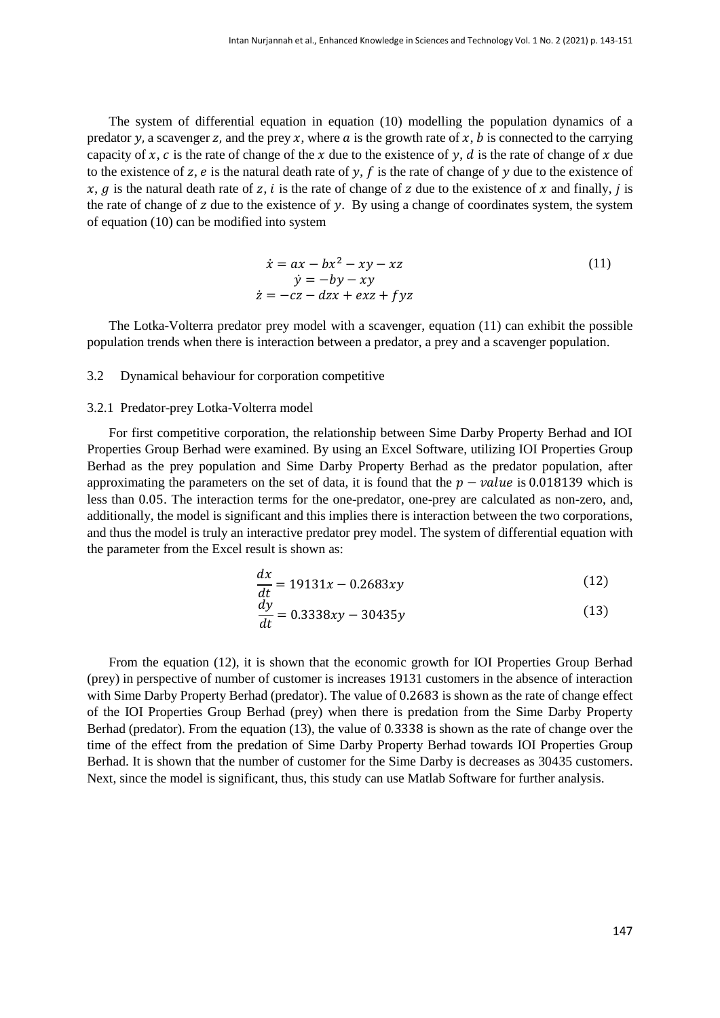The system of differential equation in equation (10) modelling the population dynamics of a predator y, a scavenger z, and the prey x, where  $a$  is the growth rate of  $x$ ,  $b$  is connected to the carrying capacity of x, c is the rate of change of the x due to the existence of y, d is the rate of change of x due to the existence of z,  $e$  is the natural death rate of y,  $f$  is the rate of change of  $y$  due to the existence of  $x, g$  is the natural death rate of z, *i* is the rate of change of z due to the existence of x and finally, *j* is the rate of change of  $z$  due to the existence of  $y$ . By using a change of coordinates system, the system of equation (10) can be modified into system

$$
\begin{aligned}\n\dot{x} &= ax - bx^2 - xy - xz \\
\dot{y} &= -by - xy\n\end{aligned}
$$
\n(11)  
\n
$$
\begin{aligned}\n\dot{x} &= ax - bx^2 - xy\n\end{aligned}
$$

The Lotka-Volterra predator prey model with a scavenger, equation (11) can exhibit the possible population trends when there is interaction between a predator, a prey and a scavenger population.

## 3.2 Dynamical behaviour for corporation competitive

## 3.2.1 Predator-prey Lotka-Volterra model

For first competitive corporation, the relationship between Sime Darby Property Berhad and IOI Properties Group Berhad were examined. By using an Excel Software, utilizing IOI Properties Group Berhad as the prey population and Sime Darby Property Berhad as the predator population, after approximating the parameters on the set of data, it is found that the  $p - value$  is 0.018139 which is less than 0.05. The interaction terms for the one-predator, one-prey are calculated as non-zero, and, additionally, the model is significant and this implies there is interaction between the two corporations, and thus the model is truly an interactive predator prey model. The system of differential equation with the parameter from the Excel result is shown as:

$$
\frac{dx}{dt} = 19131x - 0.2683xy\tag{12}
$$

$$
\frac{dy}{dt} = 0.3338xy - 30435y\tag{13}
$$

From the equation (12), it is shown that the economic growth for IOI Properties Group Berhad (prey) in perspective of number of customer is increases 19131 customers in the absence of interaction with Sime Darby Property Berhad (predator). The value of 0.2683 is shown as the rate of change effect of the IOI Properties Group Berhad (prey) when there is predation from the Sime Darby Property Berhad (predator). From the equation (13), the value of 0.3338 is shown as the rate of change over the time of the effect from the predation of Sime Darby Property Berhad towards IOI Properties Group Berhad. It is shown that the number of customer for the Sime Darby is decreases as 30435 customers. Next, since the model is significant, thus, this study can use Matlab Software for further analysis.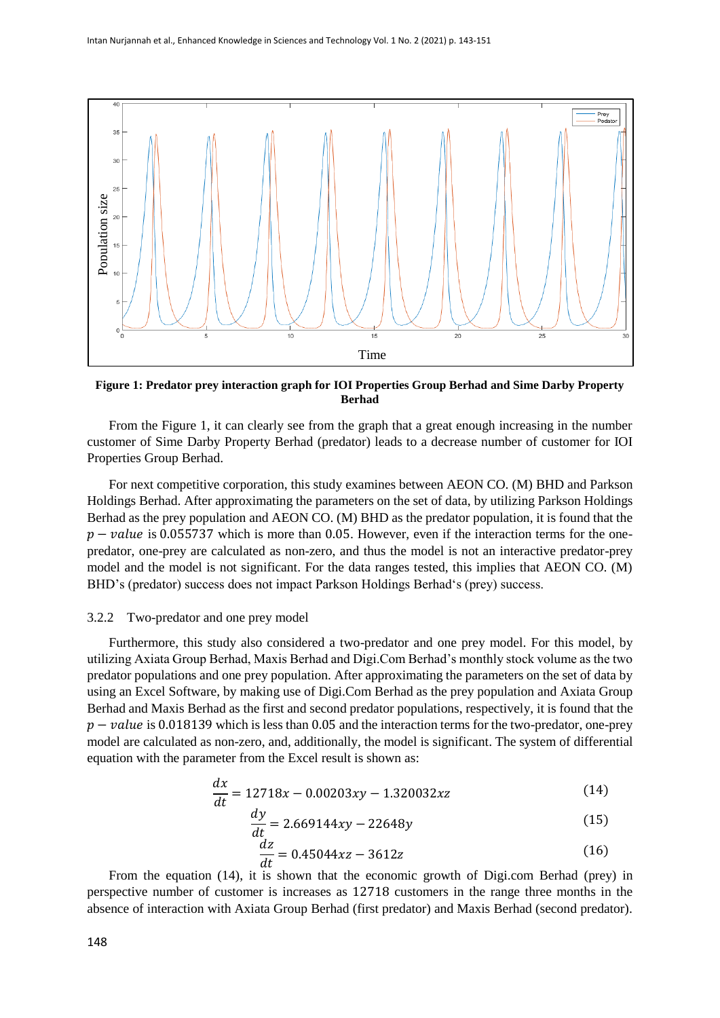

**Figure 1: Predator prey interaction graph for IOI Properties Group Berhad and Sime Darby Property Berhad**

From the Figure 1, it can clearly see from the graph that a great enough increasing in the number customer of Sime Darby Property Berhad (predator) leads to a decrease number of customer for IOI Properties Group Berhad.

For next competitive corporation, this study examines between AEON CO. (M) BHD and Parkson Holdings Berhad. After approximating the parameters on the set of data, by utilizing Parkson Holdings Berhad as the prey population and AEON CO. (M) BHD as the predator population, it is found that the  $p - value$  is 0.055737 which is more than 0.05. However, even if the interaction terms for the onepredator, one-prey are calculated as non-zero, and thus the model is not an interactive predator-prey model and the model is not significant. For the data ranges tested, this implies that AEON CO. (M) BHD's (predator) success does not impact Parkson Holdings Berhad's (prey) success.

## 3.2.2 Two-predator and one prey model

Furthermore, this study also considered a two-predator and one prey model. For this model, by utilizing Axiata Group Berhad, Maxis Berhad and Digi.Com Berhad's monthly stock volume as the two predator populations and one prey population. After approximating the parameters on the set of data by using an Excel Software, by making use of Digi.Com Berhad as the prey population and Axiata Group Berhad and Maxis Berhad as the first and second predator populations, respectively, it is found that the  $p - value$  is 0.018139 which is less than 0.05 and the interaction terms for the two-predator, one-prey model are calculated as non-zero, and, additionally, the model is significant. The system of differential equation with the parameter from the Excel result is shown as:

$$
\frac{dx}{dt} = 12718x - 0.00203xy - 1.320032xz\tag{14}
$$

$$
\frac{dy}{dt} = 2.669144xy - 22648y\tag{15}
$$

$$
\frac{dz}{dt} = 0.45044xz - 3612z\tag{16}
$$

From the equation (14), it is shown that the economic growth of Digi.com Berhad (prey) in perspective number of customer is increases as 12718 customers in the range three months in the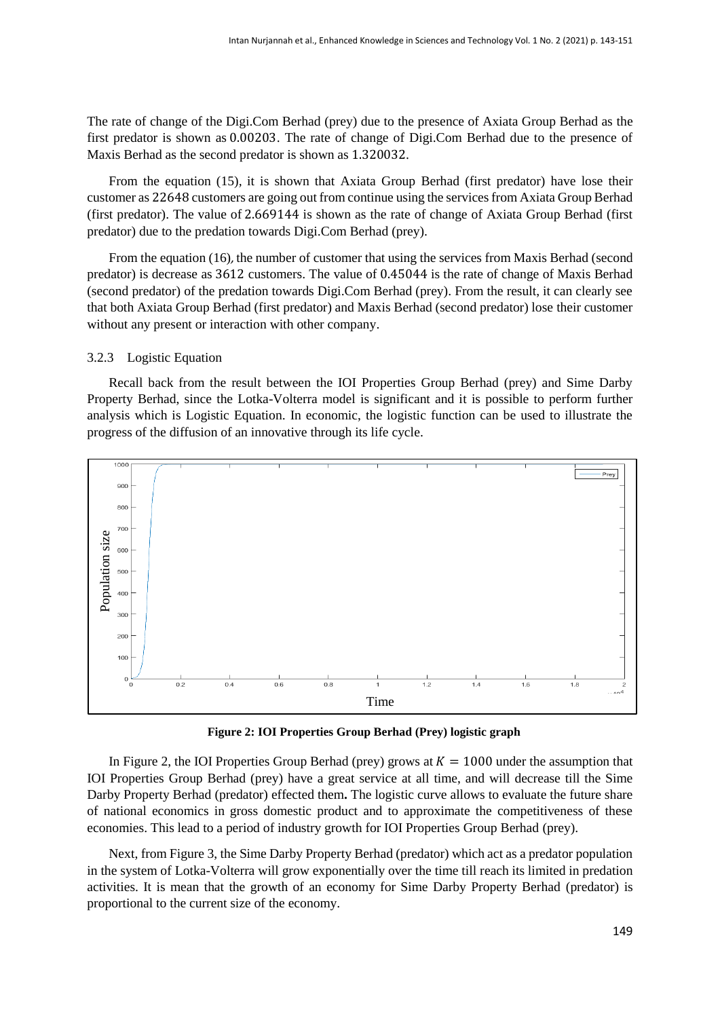The rate of change of the Digi.Com Berhad (prey) due to the presence of Axiata Group Berhad as the first predator is shown as 0.00203. The rate of change of Digi.Com Berhad due to the presence of Maxis Berhad as the second predator is shown as 1.320032.

From the equation (15)*,* it is shown that Axiata Group Berhad (first predator) have lose their customer as 22648 customers are going out from continue using the services from Axiata Group Berhad (first predator). The value of 2.669144 is shown as the rate of change of Axiata Group Berhad (first predator) due to the predation towards Digi.Com Berhad (prey).

From the equation (16), the number of customer that using the services from Maxis Berhad (second predator) is decrease as 3612 customers. The value of 0.45044 is the rate of change of Maxis Berhad (second predator) of the predation towards Digi.Com Berhad (prey). From the result, it can clearly see that both Axiata Group Berhad (first predator) and Maxis Berhad (second predator) lose their customer without any present or interaction with other company.

# 3.2.3 Logistic Equation

Recall back from the result between the IOI Properties Group Berhad (prey) and Sime Darby Property Berhad, since the Lotka-Volterra model is significant and it is possible to perform further analysis which is Logistic Equation. In economic, the logistic function can be used to illustrate the progress of the diffusion of an innovative through its life cycle.



**Figure 2: IOI Properties Group Berhad (Prey) logistic graph**

In Figure 2, the IOI Properties Group Berhad (prey) grows at  $K = 1000$  under the assumption that IOI Properties Group Berhad (prey) have a great service at all time, and will decrease till the Sime Darby Property Berhad (predator) effected them**.** The logistic curve allows to evaluate the future share of national economics in gross domestic product and to approximate the competitiveness of these economies. This lead to a period of industry growth for IOI Properties Group Berhad (prey).

Next, from Figure 3, the Sime Darby Property Berhad (predator) which act as a predator population in the system of Lotka-Volterra will grow exponentially over the time till reach its limited in predation activities. It is mean that the growth of an economy for Sime Darby Property Berhad (predator) is proportional to the current size of the economy.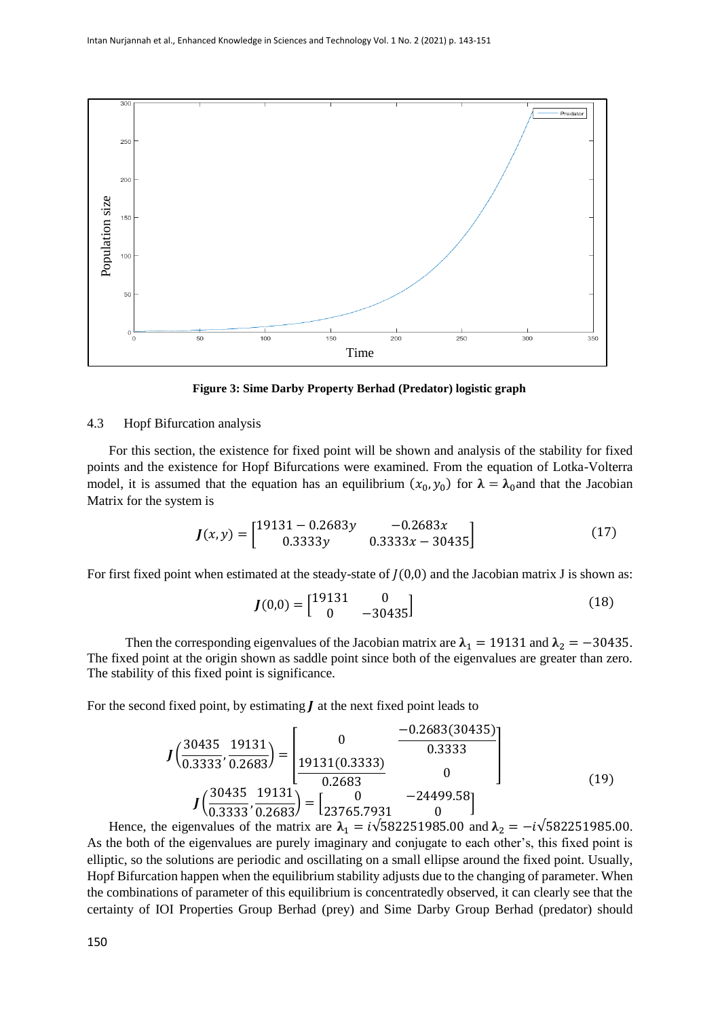

**Figure 3: Sime Darby Property Berhad (Predator) logistic graph**

## 4.3 Hopf Bifurcation analysis

For this section, the existence for fixed point will be shown and analysis of the stability for fixed points and the existence for Hopf Bifurcations were examined. From the equation of Lotka-Volterra model, it is assumed that the equation has an equilibrium  $(x_0, y_0)$  for  $\lambda = \lambda_0$  and that the Jacobian Matrix for the system is

$$
J(x,y) = \begin{bmatrix} 19131 - 0.2683y & -0.2683x \\ 0.3333y & 0.3333x - 30435 \end{bmatrix}
$$
 (17)

For first fixed point when estimated at the steady-state of  $J(0,0)$  and the Jacobian matrix J is shown as:

$$
J(0,0) = \begin{bmatrix} 19131 & 0 \\ 0 & -30435 \end{bmatrix}
$$
 (18)

Then the corresponding eigenvalues of the Jacobian matrix are  $\lambda_1 = 19131$  and  $\lambda_2 = -30435$ . The fixed point at the origin shown as saddle point since both of the eigenvalues are greater than zero. The stability of this fixed point is significance.

For the second fixed point, by estimating  $J$  at the next fixed point leads to

$$
J\left(\frac{30435}{0.3333}, \frac{19131}{0.2683}\right) = \begin{bmatrix} 0 & \frac{-0.2683(30435)}{0.3333} \\ \frac{19131(0.3333)}{0.2683} & 0 \end{bmatrix}
$$
  

$$
J\left(\frac{30435}{0.3333}, \frac{19131}{0.2683}\right) = \begin{bmatrix} 0 & -24499.58 \\ 23765.7931 & 0 \end{bmatrix}
$$
 (19)

Hence, the eigenvalues of the matrix are  $\lambda_1 = i\sqrt{582251985.00}$  and  $\lambda_2 = -i\sqrt{582251985.00}$ . As the both of the eigenvalues are purely imaginary and conjugate to each other's, this fixed point is elliptic, so the solutions are periodic and oscillating on a small ellipse around the fixed point. Usually, Hopf Bifurcation happen when the equilibrium stability adjusts due to the changing of parameter. When the combinations of parameter of this equilibrium is concentratedly observed, it can clearly see that the certainty of IOI Properties Group Berhad (prey) and Sime Darby Group Berhad (predator) should